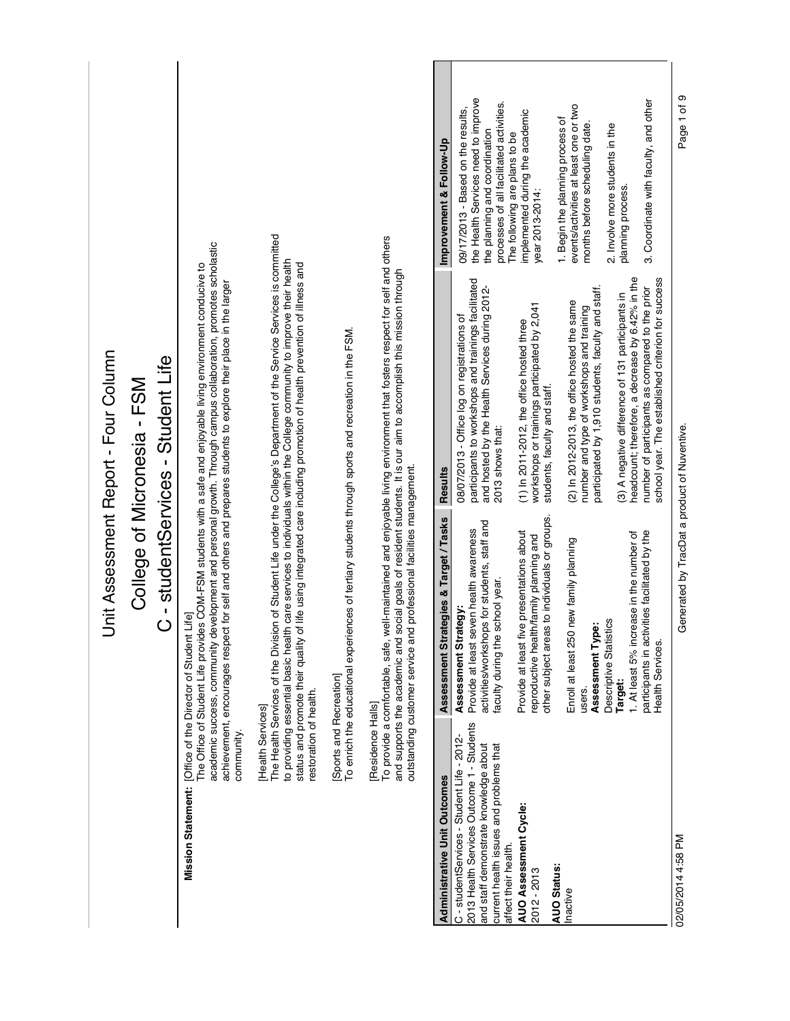|                                                                                                                                                                                                     |                                             |                                                                                                                                                   | Jnit Assessment Report - Four Column                                                                                                                                                                                                                                                                                                                                       |                                                                                                                                                        |
|-----------------------------------------------------------------------------------------------------------------------------------------------------------------------------------------------------|---------------------------------------------|---------------------------------------------------------------------------------------------------------------------------------------------------|----------------------------------------------------------------------------------------------------------------------------------------------------------------------------------------------------------------------------------------------------------------------------------------------------------------------------------------------------------------------------|--------------------------------------------------------------------------------------------------------------------------------------------------------|
|                                                                                                                                                                                                     |                                             |                                                                                                                                                   | C - studentServices - Student Life<br>College of Micronesia - FSM                                                                                                                                                                                                                                                                                                          |                                                                                                                                                        |
|                                                                                                                                                                                                     | community.                                  | Lifel<br>Mission Statement: [Office of the Director of Student                                                                                    | academic success, community development and personal growth. Through campus collaboration, promotes scholastic<br>The Office of Student Life provides COM-FSM students with a safe and enjoyable living environment conducive to<br>achievement, encourages respect for self and others and prepares students to explore their place in the larger                         |                                                                                                                                                        |
|                                                                                                                                                                                                     | restoration of health.<br>[Health Services] |                                                                                                                                                   | The Health Services of the Division of Student Life under the College's Department of the Service Services is committed<br>to providing essential basic health care services to individuals within the College community to improve their health<br>status and promote their quality of life using integrated care including promotion of health prevention of illness and |                                                                                                                                                        |
|                                                                                                                                                                                                     | Sports and Recreation]                      | To enrich the educational experiences of tertiary students through sports and recreation in the FSM.                                              |                                                                                                                                                                                                                                                                                                                                                                            |                                                                                                                                                        |
|                                                                                                                                                                                                     | [Residence Halls]                           | outstanding customer service and professional facilities management.                                                                              | To provide a comfortable, safe, well-maintained and enjoyable living environment that fosters respect for self and others<br>and supports the academic and social goals of resident students. It is our aim to accomplish this mission through                                                                                                                             |                                                                                                                                                        |
| <b>Administrative Unit Outcomes</b>                                                                                                                                                                 |                                             | Assessment Strategies & Target / Tasks                                                                                                            | <b>Results</b>                                                                                                                                                                                                                                                                                                                                                             | Improvement & Follow-Up                                                                                                                                |
| 2013 Health Services Outcome 1 - Students<br>C - studentServices - Student Life - 2012-<br>current health issues and problems that<br>and staff demonstrate knowledge about<br>affect their health. |                                             | activities/workshops for students, staff and<br>Provide at least seven health awareness<br>faculty during the school year<br>Assessment Strategy: | participants to workshops and trainings facilitated<br>and hosted by the Health Services during 2012-<br>08/07/2013 - Office log on registrations of<br>2013 shows that:                                                                                                                                                                                                   | the Health Services need to improve<br>processes of all facilitated activities.<br>09/17/2013 - Based on the results,<br>the planning and coordination |
| AUO Assessment Cycle:                                                                                                                                                                               |                                             | other subject areas to individuals or groups.<br>Provide at least five presentations about<br>reproductive health/family planning and             | workshops or trainings participated by 2,041<br>$(1)$ In 2011-2012, the office hosted three<br>students, faculty and staff.                                                                                                                                                                                                                                                | implemented during the academic<br>The following are plans to be<br>year 2013-2014:                                                                    |
|                                                                                                                                                                                                     |                                             | new family planning<br>Assessment Type:<br>Enroll at least 250<br>users.                                                                          | participated by 1,910 students, faculty and staff.<br>(2) In 2012-2013, the office hosted the same<br>number and type of workshops and training                                                                                                                                                                                                                            | events/activities at least one or two<br>1. Begin the planning process of<br>months before scheduling date.                                            |
|                                                                                                                                                                                                     |                                             | 1. At least 5% increase in the number of<br>Descriptive Statistics<br>Target:                                                                     | headcount; therefore, a decrease by 6.42% in the<br>(3) A negative difference of 131 participants in                                                                                                                                                                                                                                                                       | 2. Involve more students in the<br>planning process.                                                                                                   |
|                                                                                                                                                                                                     |                                             | participants in activities facilitated by the<br>Health Services.                                                                                 | school year. The established criterion for success<br>number of participants as compared to the prior                                                                                                                                                                                                                                                                      | 3. Coordinate with faculty, and other                                                                                                                  |
| 02/05/2014 4:58 PM                                                                                                                                                                                  |                                             | Generated by TracDat a product of Nuventive.                                                                                                      |                                                                                                                                                                                                                                                                                                                                                                            | Page 1 of 9                                                                                                                                            |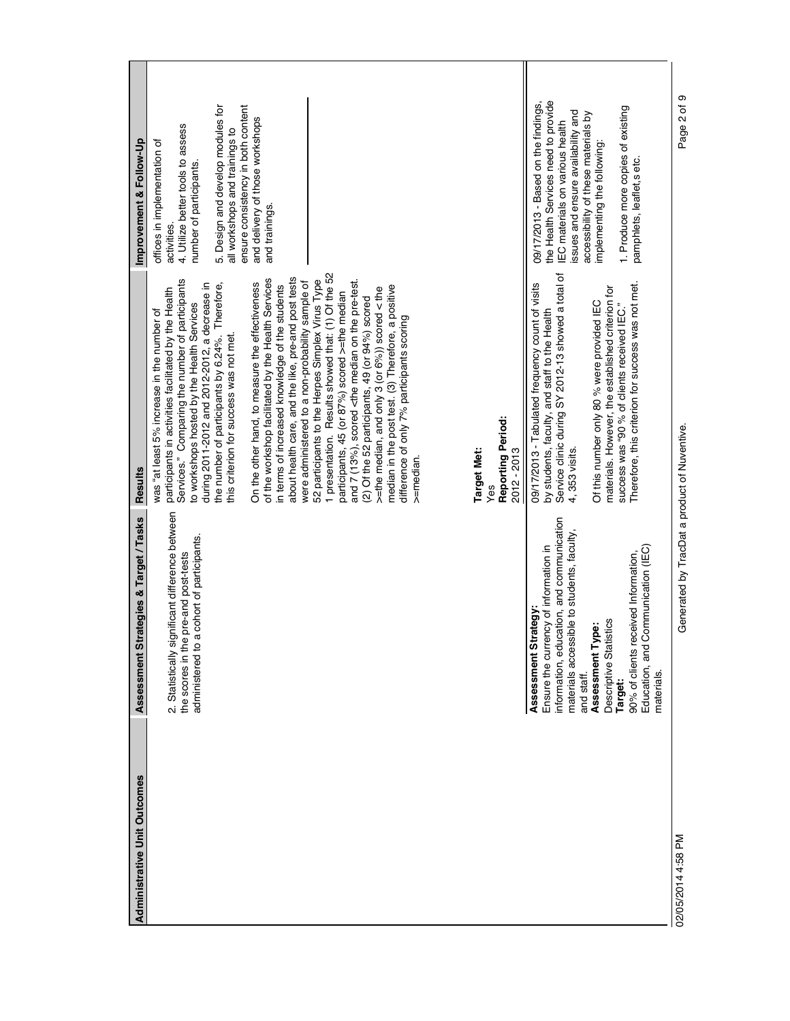| <b>Administrative Unit Outcomes</b> | rategies & Target / Tasks<br>Assessment St                                                                                                                                                                                                                                                                                        | <b>Results</b>                                                                                                                                                                                                                                                                                                                                                                                                                                                                                                                                                                                                                                                                                                                                                                                                                                                                                                                                                                                                                                                                                                                                                                 | Improvement & Follow-Up                                                                                                                                                                                                                                                                      |
|-------------------------------------|-----------------------------------------------------------------------------------------------------------------------------------------------------------------------------------------------------------------------------------------------------------------------------------------------------------------------------------|--------------------------------------------------------------------------------------------------------------------------------------------------------------------------------------------------------------------------------------------------------------------------------------------------------------------------------------------------------------------------------------------------------------------------------------------------------------------------------------------------------------------------------------------------------------------------------------------------------------------------------------------------------------------------------------------------------------------------------------------------------------------------------------------------------------------------------------------------------------------------------------------------------------------------------------------------------------------------------------------------------------------------------------------------------------------------------------------------------------------------------------------------------------------------------|----------------------------------------------------------------------------------------------------------------------------------------------------------------------------------------------------------------------------------------------------------------------------------------------|
|                                     | 2. Statistically significant difference between<br>administered to a cohort of participants.<br>pre-and post-tests<br>the scores in the                                                                                                                                                                                           | 1 presentation. Results showed that: (1) Of the 52<br>about health care, and the like, pre-and post tests<br>of the workshop facilitated by the Health Services<br>Services." Comparing the number of participants<br>52 participants to the Herpes Simplex Virus Type<br>and 7 (13%), scored <the median="" on="" pre-test.<br="" the="">were administered to a non-probability sample of<br/>On the other hand, to measure the effectiveness<br/>during 2011-2012 and 2012-2012, a decrease in<br/>the number of participants by 6.24%. Therefore,<br/>in terms of increased knowledge of the students<br/>median in the post test. (3) Therefore, a positive<br/>&gt;=the median, and only 3 (or 6%)) scored &lt; the<br/>participants in activities facilitated by the Health<br/>participants, 45 (or 87%) scored &gt;=the median<br/>(2) Of the 52 participants, 49 (or 94%) scored<br/>to workshops hosted by the Health Services<br/>was "at least 5% increase in the number of<br/>difference of only 7% participants scoring<br/>this criterion for success was not met.<br/>Reporting Period:<br/><b>Target Met:</b><br/>2012 - 2013<br/>&gt;=median.<br/>Yes</the> | 5. Design and develop modules for<br>ensure consistency in both content<br>and delivery of those workshops<br>4. Utilize better tools to assess<br>all workshops and trainings to<br>offices in implementation of<br>number of participants.<br>and trainings.<br>activities.                |
|                                     | information, education, and communication<br>materials accessible to students, faculty,<br>Ensure the currency of information in<br>Communication (IEC)<br>90% of clients received Information,<br>Assessment Strategy<br>Descriptive Statistics<br>ë<br>Assessment Ty<br>Education, and (<br>and staff.<br>materials.<br>Target: | Service clinic during SY 2012-13 showed a total of<br>Therefore, this criterion for success was not met.<br>09/17/2013 - Tabulated frequency count of visits<br>materials. However, the established criterion for<br>Of this number only 80 % were provided IEC<br>success was "90 % of clients received IEC."<br>by students, faculty, and staff to the Health<br>4, 353 visits.                                                                                                                                                                                                                                                                                                                                                                                                                                                                                                                                                                                                                                                                                                                                                                                              | the Health Services need to provide<br>09/17/2013 - Based on the findings,<br>1. Produce more copies of existing<br>issues and ensure availability and<br>accessibility of these materials by<br>IEC materials on various health<br>implementing the following:<br>pamphlets, leaflet, setc. |
| 02/05/2014 4:58 PM                  | Generated by TracDat a product of Nuventive.                                                                                                                                                                                                                                                                                      |                                                                                                                                                                                                                                                                                                                                                                                                                                                                                                                                                                                                                                                                                                                                                                                                                                                                                                                                                                                                                                                                                                                                                                                | Page 2 of 9                                                                                                                                                                                                                                                                                  |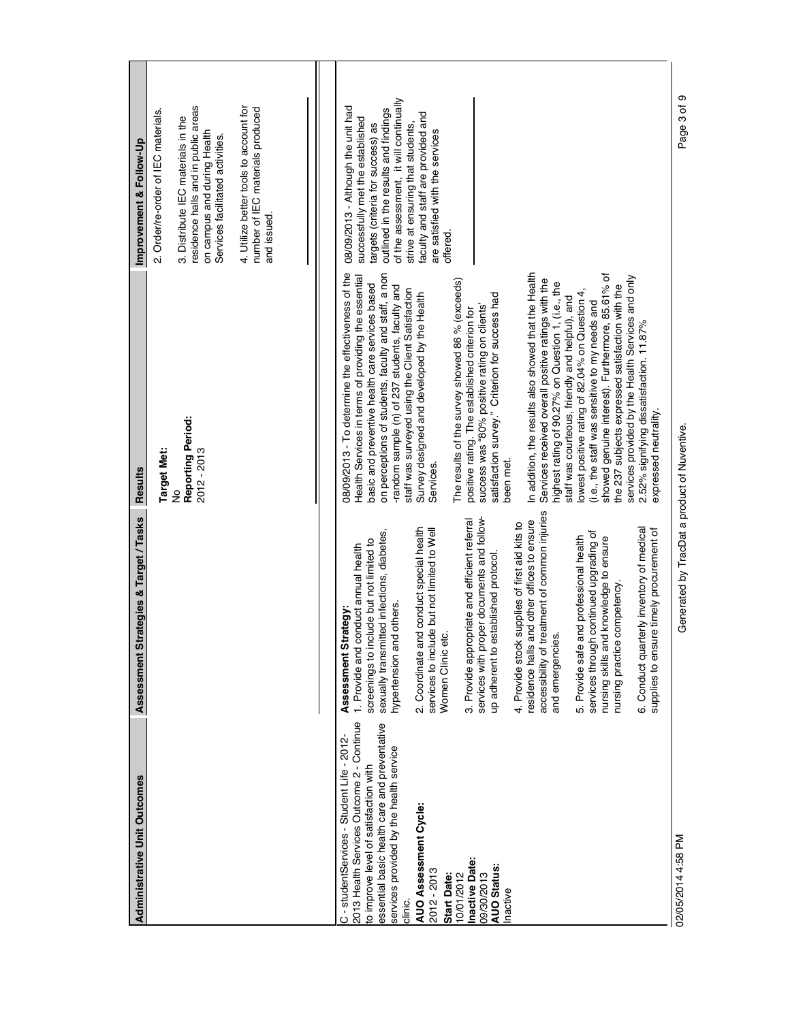| <b>Administrative Unit Outcomes</b>                                                                                                                                                                                                                                                                                                                                                 | rategies & Target / Tasks<br>Assessment St                                                                                                                                                                                                                                                                                                                                                                                                                                                                                                                                                                                                                                                                                                                                                                                                                                            | <b>Results</b>                                                                                                                                                                                                                                                                                                                                                                                                                                                                                                                                                                                                                                                                                                                                                                                                                                                                                                                                                                                                                                                                                                                                                              | Improvement & Follow-Up                                                                                                                                                                                                                                                                                                 |
|-------------------------------------------------------------------------------------------------------------------------------------------------------------------------------------------------------------------------------------------------------------------------------------------------------------------------------------------------------------------------------------|---------------------------------------------------------------------------------------------------------------------------------------------------------------------------------------------------------------------------------------------------------------------------------------------------------------------------------------------------------------------------------------------------------------------------------------------------------------------------------------------------------------------------------------------------------------------------------------------------------------------------------------------------------------------------------------------------------------------------------------------------------------------------------------------------------------------------------------------------------------------------------------|-----------------------------------------------------------------------------------------------------------------------------------------------------------------------------------------------------------------------------------------------------------------------------------------------------------------------------------------------------------------------------------------------------------------------------------------------------------------------------------------------------------------------------------------------------------------------------------------------------------------------------------------------------------------------------------------------------------------------------------------------------------------------------------------------------------------------------------------------------------------------------------------------------------------------------------------------------------------------------------------------------------------------------------------------------------------------------------------------------------------------------------------------------------------------------|-------------------------------------------------------------------------------------------------------------------------------------------------------------------------------------------------------------------------------------------------------------------------------------------------------------------------|
|                                                                                                                                                                                                                                                                                                                                                                                     |                                                                                                                                                                                                                                                                                                                                                                                                                                                                                                                                                                                                                                                                                                                                                                                                                                                                                       | Reporting Period:<br>Target Met:<br>2012 - 2013<br>$\frac{1}{2}$                                                                                                                                                                                                                                                                                                                                                                                                                                                                                                                                                                                                                                                                                                                                                                                                                                                                                                                                                                                                                                                                                                            | 4. Utilize better tools to account for<br>residence halls and in public areas<br>number of IEC materials produced<br>2. Order/re-order of IEC materials.<br>3. Distribute IEC materials in the<br>on campus and during Health<br>Services facilitated activities.<br>and issued.                                        |
|                                                                                                                                                                                                                                                                                                                                                                                     |                                                                                                                                                                                                                                                                                                                                                                                                                                                                                                                                                                                                                                                                                                                                                                                                                                                                                       |                                                                                                                                                                                                                                                                                                                                                                                                                                                                                                                                                                                                                                                                                                                                                                                                                                                                                                                                                                                                                                                                                                                                                                             |                                                                                                                                                                                                                                                                                                                         |
| 2013 Health Services Outcome 2 - Continue<br>essential basic health care and preventative<br>C - studentServices - Student Life - 2012-<br>services provided by the health service<br>to improve level of satisfaction with<br>AUO Assessment Cycle:<br>Inactive Date:<br><b>AUO Status:</b><br>2012 - 2013<br>10/01/2012<br>09/30/2013<br><b>Start Date:</b><br>Inactive<br>dinic. | accessibility of treatment of common injuries<br>services with proper documents and follow-<br>residence halls and other offices to ensure<br>3. Provide appropriate and efficient referral<br>supplies of first aid kits to<br>terly inventory of medical<br>2. Coordinate and conduct special health<br>re timely procurement of<br>services to include but not limited to Well<br>sexually transmitted infections, diabetes,<br>services through continued upgrading of<br>5. Provide safe and professional health<br>nursing skills and knowledge to ensure<br>screenings to include but not limited to<br>1. Provide and conduct annual health<br>up adherent to established protocol.<br>competency<br>hypertension and others.<br>Assessment Strategy:<br>Women Clinic etc.<br>and emergencies.<br>4. Provide stock<br>nursing practice<br>6. Conduct quar<br>supplies to ensu | 08/09/2013 - To determine the effectiveness of the<br>In addition, the results also showed that the Health<br>on perceptions of students, faculty and staff, a non<br>showed genuine interest). Furthermore, 85.61% of<br>Health Services in terms of providing the essential<br>services provided by the Health Services and only<br>Services received overall positive ratings with the<br>The results of the survey showed 86 % (exceeds)<br>highest rating of 90.27% on Question 1, (i.e., the<br>basic and preventive health care services based<br>-random sample (n) of 237 students, faculty and<br>the 237 subjects expressed satisfaction with the<br>staff was surveyed using the Client Satisfaction<br>lowest positive rating of 82.04% on Question 4,<br>Survey designed and developed by the Health<br>satisfaction survey." Criterion for success had<br>staff was courteous, friendly and helpful), and<br>(i.e., the staff was sensitive to my needs and<br>success was "80% positive rating on clients"<br>positive rating. The established criterion for<br>2.52% signifying dissatisfaction. 11.87%<br>expressed neutrality.<br>been met.<br>Services. | of the assessment, it will continually<br>08/09/2013 - Although the unit had<br>outlined in the results and findings<br>faculty and staff are provided and<br>successfully met the established<br>strive at ensuring that students,<br>targets (criteria for success) as<br>are satisfied with the services<br>offered. |
| 02/05/2014 4:58 PM                                                                                                                                                                                                                                                                                                                                                                  | Generated by TracDat a product of Nuventive.                                                                                                                                                                                                                                                                                                                                                                                                                                                                                                                                                                                                                                                                                                                                                                                                                                          |                                                                                                                                                                                                                                                                                                                                                                                                                                                                                                                                                                                                                                                                                                                                                                                                                                                                                                                                                                                                                                                                                                                                                                             | Page 3 of 9                                                                                                                                                                                                                                                                                                             |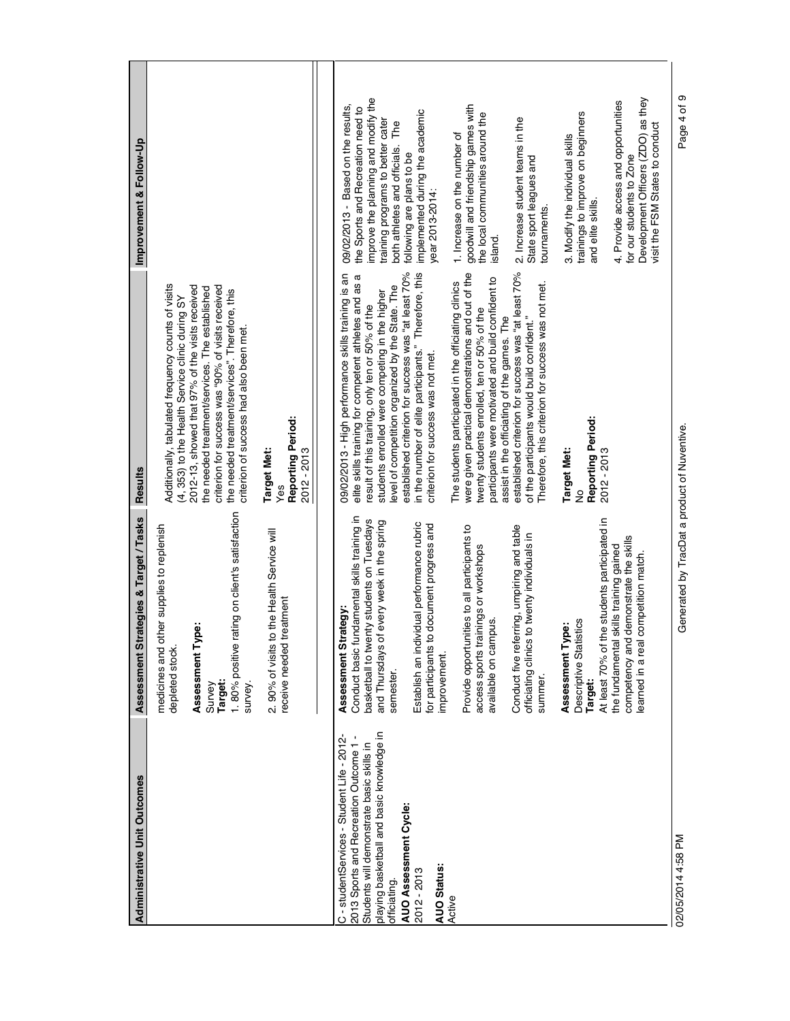| <b>Administrative Unit Outcomes</b>                                                                                                                                                                                                                                  | Assessment Strategies & Target / Tasks                                                                                                                                                                                                                                                                                                                                                                                                                                                                                                                                                                                                                                                                                                                        | <b>Results</b>                                                                                                                                                                                                                                                                                                                                                                                                                                                                                                                                                                                                                                                                                                                                                                                                                                                                                                           | Improvement & Follow-Up                                                                                                                                                                                                                                                                                                                                                                                                                                                                                                                                                                                                                                                                                                    |
|----------------------------------------------------------------------------------------------------------------------------------------------------------------------------------------------------------------------------------------------------------------------|---------------------------------------------------------------------------------------------------------------------------------------------------------------------------------------------------------------------------------------------------------------------------------------------------------------------------------------------------------------------------------------------------------------------------------------------------------------------------------------------------------------------------------------------------------------------------------------------------------------------------------------------------------------------------------------------------------------------------------------------------------------|--------------------------------------------------------------------------------------------------------------------------------------------------------------------------------------------------------------------------------------------------------------------------------------------------------------------------------------------------------------------------------------------------------------------------------------------------------------------------------------------------------------------------------------------------------------------------------------------------------------------------------------------------------------------------------------------------------------------------------------------------------------------------------------------------------------------------------------------------------------------------------------------------------------------------|----------------------------------------------------------------------------------------------------------------------------------------------------------------------------------------------------------------------------------------------------------------------------------------------------------------------------------------------------------------------------------------------------------------------------------------------------------------------------------------------------------------------------------------------------------------------------------------------------------------------------------------------------------------------------------------------------------------------------|
|                                                                                                                                                                                                                                                                      | rating on client's satisfaction<br>other supplies to replenish<br>Assessment Type:<br>depleted stock.<br>1.80% positive<br>medicines and<br>Target:<br>Survey<br>survey.                                                                                                                                                                                                                                                                                                                                                                                                                                                                                                                                                                                      | Additionally, tabulated frequency counts of visits<br>2012-13, showed that 97% of the visits received<br>criterion for success was "90% of visits received<br>the needed treatment/services. The established<br>the needed treatment/services". Therefore, this<br>(4, 353) to the Health Service clinic during SY<br>criterion of success had also been met.                                                                                                                                                                                                                                                                                                                                                                                                                                                                                                                                                            |                                                                                                                                                                                                                                                                                                                                                                                                                                                                                                                                                                                                                                                                                                                            |
|                                                                                                                                                                                                                                                                      | to the Health Service will<br>treatment<br>2.90% of visits<br>receive needed                                                                                                                                                                                                                                                                                                                                                                                                                                                                                                                                                                                                                                                                                  | Reporting Period:<br>2012 - 2013<br>Target Met:                                                                                                                                                                                                                                                                                                                                                                                                                                                                                                                                                                                                                                                                                                                                                                                                                                                                          |                                                                                                                                                                                                                                                                                                                                                                                                                                                                                                                                                                                                                                                                                                                            |
| playing basketball and basic knowledge in<br>2013 Sports and Recreation Outcome 1-<br>C - studentServices - Student Life - 2012<br>Students will demonstrate basic skills in<br>AUO Assessment Cycle:<br><b>AUO Status:</b><br>2012 - 2013<br>officiating.<br>Active | Conduct basic fundamental skills training in<br>At least 70% of the students participated in<br>basketball to twenty students on Tuesdays<br>of every week in the spring<br>Establish an individual performance rubric<br>for participants to document progress and<br>Conduct five referring, umpiring and table<br>Provide opportunities to all participants to<br>officiating clinics to twenty individuals in<br>competency and demonstrate the skills<br>access sports trainings or workshops<br>the fundamental skills training gained<br>learned in a real competition match.<br>Assessment Strategy:<br>available on campus.<br>Descriptive Statistics<br>Assessment Type:<br>and Thursdays<br>improvement.<br>semester.<br>summer.<br><b>Target:</b> | established criterion for success was "at least 70%<br>established criterion for success was "at least 70%<br>in the number of elite participants." Therefore, this<br>were given practical demonstrations and out of the<br>09/02/2013 - High performance skills training is an<br>elite skills training for competent athletes and as a<br>participants were motivated and build confident to<br>The students participated in the officiating clinics<br>Therefore, this criterion for success was not met.<br>level of competition organized by the State. The<br>students enrolled were competing in the higher<br>result of this training, only ten or 50% of the<br>twenty students enrolled, ten or 50% of the<br>assist in the officiating of the games. The<br>of the participants would build confident."<br>criterion for success was not met.<br>Reporting Period:<br>2012 - 2013<br><b>Target Met:</b><br>ş | improve the planning and modify the<br>Development Officers (ZDO) as they<br>4. Provide access and opportunities<br>goodwill and friendship games with<br>09/02/2013 - Based on the results,<br>the Sports and Recreation need to<br>implemented during the academic<br>trainings to improve on beginners<br>the local communities around the<br>2. Increase student teams in the<br>training programs to better cater<br>The<br>visit the FSM States to conduct<br>1. Increase on the number of<br>3. Modify the individual skills<br>both athletes and officials.<br>following are plans to be<br>for our students to Zone<br>State sport leagues and<br>year 2013-2014:<br>and elite skills.<br>tournaments.<br>island. |
| 02/05/2014 4:58 PM                                                                                                                                                                                                                                                   | Generated by TracDat a product of Nuventive.                                                                                                                                                                                                                                                                                                                                                                                                                                                                                                                                                                                                                                                                                                                  |                                                                                                                                                                                                                                                                                                                                                                                                                                                                                                                                                                                                                                                                                                                                                                                                                                                                                                                          | ၜ<br>Page 4 of                                                                                                                                                                                                                                                                                                                                                                                                                                                                                                                                                                                                                                                                                                             |

 $\overline{\phantom{a}}$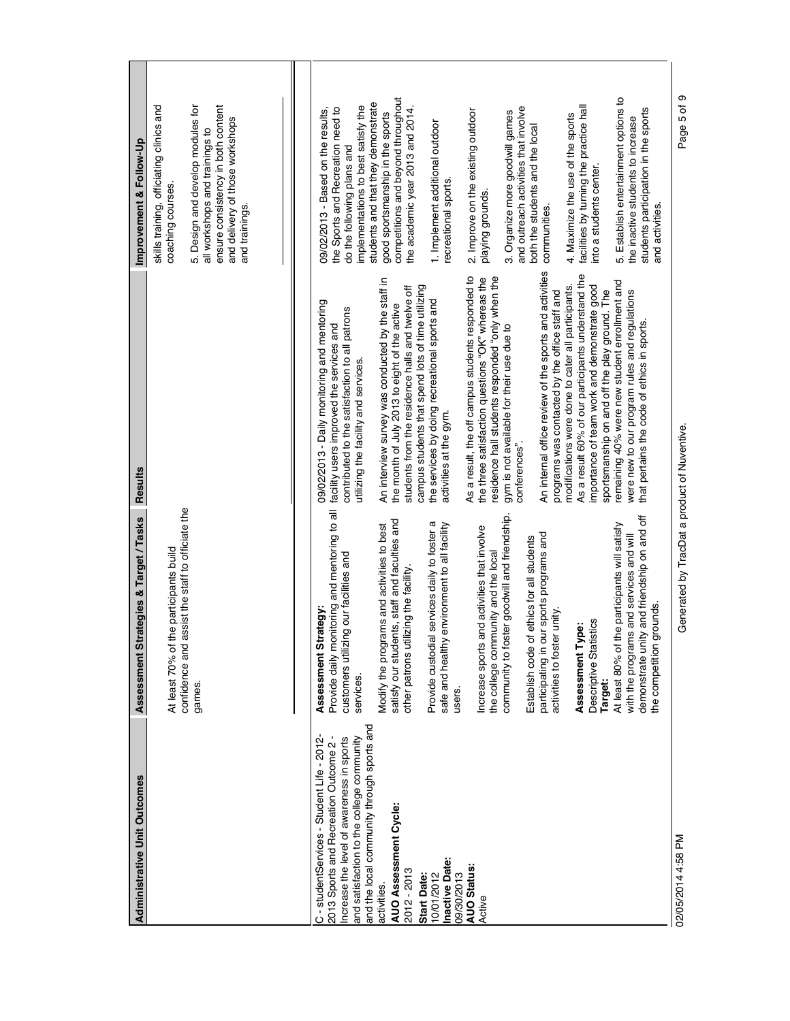| <b>Administrative Unit Outcomes</b>                                                                                                                                                                                                                                                                                                                                                   | trategies & Target / Tasks<br>Assessment St                                                                                                                                                                                                                                                                                                                                                                                                                                                                                                                                                                                                                                                                                                                                                                                                                                         | Results                                                                                                                                                                                                                                                                                                                                                                                                                                                                                                                                                                                                                                                                                                                                                                                                                                                                                                                                                                                                                                                                                                                                                                           | Improvement & Follow-Up                                                                                                                                                                                                                                                                                                                                                                                                                                                                                                                                                                                                                                                                                                                                                                                |
|---------------------------------------------------------------------------------------------------------------------------------------------------------------------------------------------------------------------------------------------------------------------------------------------------------------------------------------------------------------------------------------|-------------------------------------------------------------------------------------------------------------------------------------------------------------------------------------------------------------------------------------------------------------------------------------------------------------------------------------------------------------------------------------------------------------------------------------------------------------------------------------------------------------------------------------------------------------------------------------------------------------------------------------------------------------------------------------------------------------------------------------------------------------------------------------------------------------------------------------------------------------------------------------|-----------------------------------------------------------------------------------------------------------------------------------------------------------------------------------------------------------------------------------------------------------------------------------------------------------------------------------------------------------------------------------------------------------------------------------------------------------------------------------------------------------------------------------------------------------------------------------------------------------------------------------------------------------------------------------------------------------------------------------------------------------------------------------------------------------------------------------------------------------------------------------------------------------------------------------------------------------------------------------------------------------------------------------------------------------------------------------------------------------------------------------------------------------------------------------|--------------------------------------------------------------------------------------------------------------------------------------------------------------------------------------------------------------------------------------------------------------------------------------------------------------------------------------------------------------------------------------------------------------------------------------------------------------------------------------------------------------------------------------------------------------------------------------------------------------------------------------------------------------------------------------------------------------------------------------------------------------------------------------------------------|
|                                                                                                                                                                                                                                                                                                                                                                                       | assist the staff to officiate the<br>the participants build<br>confidence and<br>At least 70% of<br>games.                                                                                                                                                                                                                                                                                                                                                                                                                                                                                                                                                                                                                                                                                                                                                                          |                                                                                                                                                                                                                                                                                                                                                                                                                                                                                                                                                                                                                                                                                                                                                                                                                                                                                                                                                                                                                                                                                                                                                                                   | skills training, officiating clinics and<br>ensure consistency in both content<br>5. Design and develop modules for<br>and delivery of those workshops<br>all workshops and trainings to<br>coaching courses<br>and trainings.                                                                                                                                                                                                                                                                                                                                                                                                                                                                                                                                                                         |
| and the local community through sports and<br>C - studentServices - Student Life - 2012-<br>and satisfaction to the college community<br>Increase the level of awareness in sports<br>2013 Sports and Recreation Outcome 2<br>AUO Assessment Cycle:<br><b>Inactive Date:</b><br><b>AUO Status:</b><br>2012 - 2013<br>09/30/2013<br>10/01/2012<br>Start Date:<br>activities.<br>Active | Provide daily monitoring and mentoring to all<br>community to foster goodwill and friendship.<br>demonstrate unity and friendship on and off<br>satisfy our students, staff and faculties and<br>Provide custodial services daily to foster a<br>Modify the programs and activities to best<br>safe and healthy environment to all facility<br>At least 80% of the participants will satisfy<br>Increase sports and activities that involve<br>participating in our sports programs and<br>with the programs and services and will<br>Establish code of ethics for all students<br>the college community and the local<br>customers utilizing our facilities and<br>other patrons utilizing the facility.<br>grounds.<br>trategy:<br>activities to foster unity<br>Descriptive Statistics<br>Assessment Type:<br>Assessment St<br>the competition<br>services.<br>Target:<br>users. | An internal office review of the sports and activities<br>As a result 60% of our participants understand the<br>As a result, the off campus students responded to<br>the three satisfaction questions "OK" whereas the<br>residence hall students responded "only when the<br>An interview survey was conducted by the staff in<br>remaining 40% were new student enrollment and<br>importance of team work and demonstrate good<br>campus students that spend lots of time utilizing<br>modifications were done to cater all participants.<br>students from the residence halls and twelve off<br>sportsmanship on and off the play ground. The<br>programs was contacted by the office staff and<br>were new to our program rules and regulations<br>the services by doing recreational sports and<br>09/02/2013 - Daily monitoring and mentoring<br>the month of July 2013 to eight of the active<br>contributed to the satisfaction to all patrons<br>that pertains the code of ethics in sports.<br>facility users improved the services and<br>gym is not available for their use due to<br>utilizing the facility and services.<br>activities at the gym.<br>conferences". | competitions and beyond throughout<br>5. Establish entertainment options to<br>students and that they demonstrate<br>facilities by turning the practice hall<br>implementations to best satisfy the<br>and outreach activities that involve<br>the Sports and Recreation need to<br>09/02/2013 - Based on the results,<br>the academic year 2013 and 2014<br>students participation in the sports<br>2. Improve on the existing outdoor<br>3. Organize more goodwill games<br>good sportsmanship in the sports<br>4. Maximize the use of the sports<br>the inactive students to increase<br>1. Implement additional outdoor<br>both the students and the local<br>do the following plans and<br>into a students center.<br>recreational sports.<br>playing grounds.<br>and activities.<br>communities. |
| 02/05/2014 4:58 PM                                                                                                                                                                                                                                                                                                                                                                    | Generated by TracDat a product of Nuventive.                                                                                                                                                                                                                                                                                                                                                                                                                                                                                                                                                                                                                                                                                                                                                                                                                                        |                                                                                                                                                                                                                                                                                                                                                                                                                                                                                                                                                                                                                                                                                                                                                                                                                                                                                                                                                                                                                                                                                                                                                                                   | Page 5 of 9                                                                                                                                                                                                                                                                                                                                                                                                                                                                                                                                                                                                                                                                                                                                                                                            |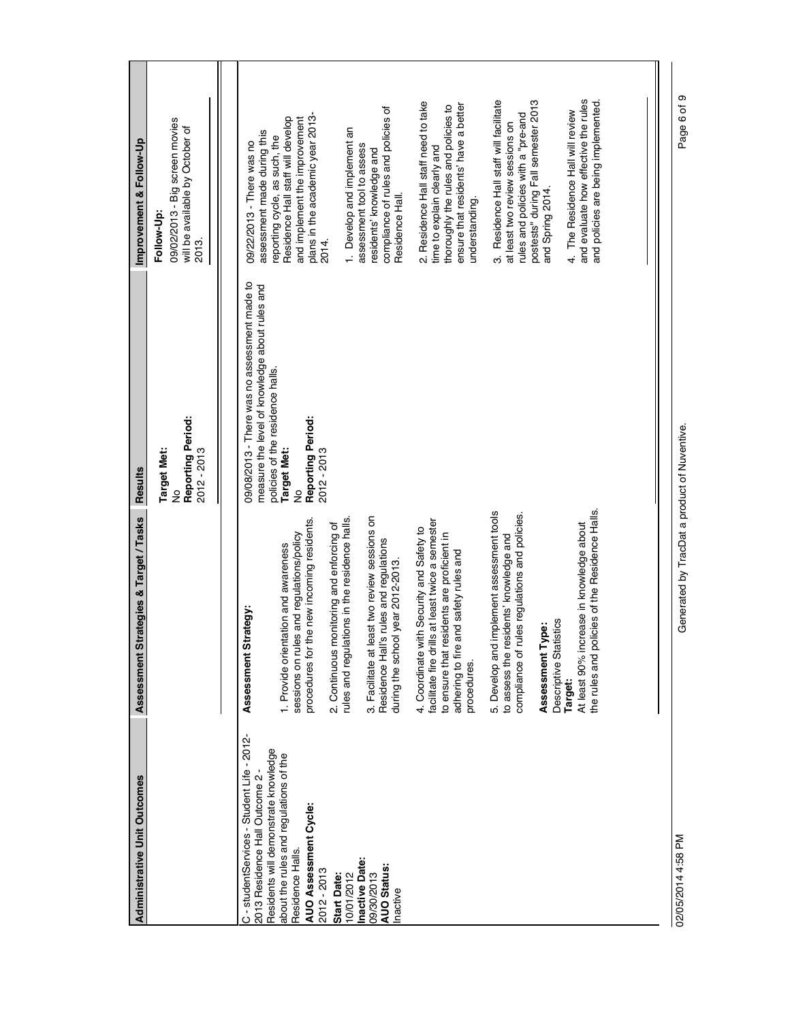| <b>Administrative Unit Outcomes</b>                                                                                                        | ategies & Target / Tasks<br>Assessment Str                                                                                                                                                             | <b>Results</b>                                                                                              | Improvement & Follow-Up                                                                                                                                                |
|--------------------------------------------------------------------------------------------------------------------------------------------|--------------------------------------------------------------------------------------------------------------------------------------------------------------------------------------------------------|-------------------------------------------------------------------------------------------------------------|------------------------------------------------------------------------------------------------------------------------------------------------------------------------|
|                                                                                                                                            |                                                                                                                                                                                                        | Reporting Period:<br>2012 - 2013<br><b>Target Met:</b><br>$\frac{1}{2}$                                     | 09/02/2013 - Big screen movies<br>will be available by October of<br>Follow-Up<br>2013.                                                                                |
| C - studentServices - Student Life - 2012-<br>2013 Residence Hall Outcome 2                                                                | rategy:<br>Assessment Str.                                                                                                                                                                             | 09/08/2013 - There was no assessment made to<br>measure the level of knowledge about rules and              | 09/22/2013 - There was no                                                                                                                                              |
| Residents will demonstrate knowledge<br>about the rules and regulations of the<br>AUO Assessment Cycle:<br>Residence Halls.<br>2012 - 2013 | procedures for the new incoming residents<br>sessions on rules and regulations/policy<br>1. Provide orientation and awareness                                                                          | policies of the residence halls.<br>Reporting Period:<br><b>Target Met:</b><br>2012 - 2013<br>$\frac{9}{2}$ | plans in the academic year 2013-<br>Residence Hall staff will develop<br>and implement the improvement<br>assessment made during this<br>reporting cycle, as such, the |
| 10/01/2012<br>Start Date:                                                                                                                  | rules and regulations in the residence halls.<br>2. Continuous monitoring and enforcing of                                                                                                             |                                                                                                             | 1. Develop and implement an<br>2014.                                                                                                                                   |
| Inactive Date:<br><b>AUO Status:</b><br>09/30/2013<br>Inactive                                                                             | 3. Facilitate at least two review sessions on<br>Residence Hall's rules and regulations<br>year 2012-2013.<br>during the school                                                                        |                                                                                                             | compliance of rules and policies of<br>assessment tool to assess<br>residents' knowledge and<br>Residence Hall.                                                        |
|                                                                                                                                            | at least twice a semester<br>4. Coordinate with Security and Safety to<br>to ensure that residents are proficient in<br>adhering to fire and safety rules and<br>facilitate fire drills<br>procedures. |                                                                                                             | 2. Residence Hall staff need to take<br>ensure that residents' have a better<br>thoroughly the rules and policies to<br>time to explain clearly and<br>understanding.  |
|                                                                                                                                            | 5. Develop and implement assessment tools<br>compliance of rules regulations and policies.<br>to assess the residents' knowledge and                                                                   |                                                                                                             | 3. Residence Hall staff will facilitate<br>rules and policies with a "pre-and<br>at least two review sessions on                                                       |
|                                                                                                                                            | Descriptive Statistics<br>Assessment Type:<br>Target:                                                                                                                                                  |                                                                                                             | postests" during Fall semester 2013<br>4. The Residence Hall will review<br>and Spring 2014.                                                                           |
|                                                                                                                                            | the rules and policies of the Residence Halls.<br>At least 90% increase in knowledge about                                                                                                             |                                                                                                             | and evaluate how effective the rules<br>and policies are being implemented.                                                                                            |
|                                                                                                                                            |                                                                                                                                                                                                        |                                                                                                             |                                                                                                                                                                        |
| 02/05/2014 4:58 PM                                                                                                                         | Generated by TracDat a product of Nuventive.                                                                                                                                                           |                                                                                                             | თ<br>Page 6 of                                                                                                                                                         |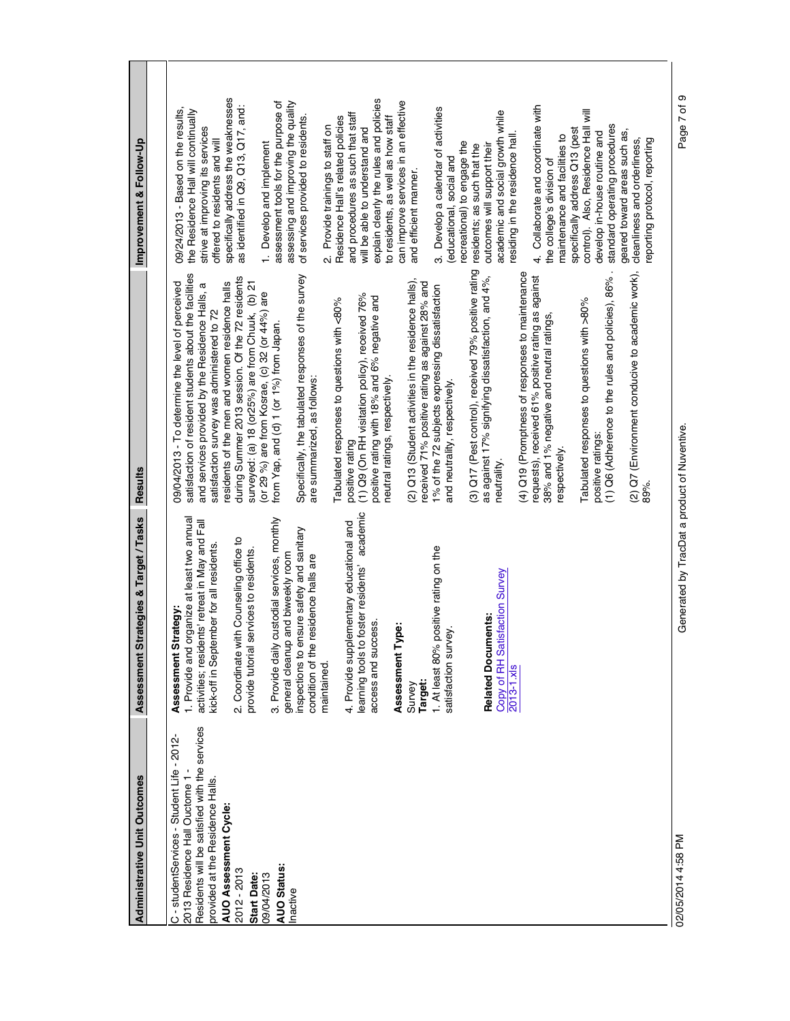| <b>Administrative Unit Outcomes</b>                                                                                                                                                                                                                                                   | Assessment Strategies & Target / Tasks                                                                                                                                                                                                                                                                                                                                                                                                                                                                                                                                                                                                                                                                                                                                                        | <b>Results</b>                                                                                                                                                                                                                                                                                                                                                                                                                                                                                                                                                                                                                                                                                                                                                                                                                                                                                                                                                                                                                                                                                                                                                                                                                                                                                                                                                                                                                                     | Improvement & Follow-Up                                                                                                                                                                                                                                                                                                                                                                                                                                                                                                                                                                                                                                                                                                                                                                                                                                                                                                                                                                                                                                                                                                                                                                                                                                           |
|---------------------------------------------------------------------------------------------------------------------------------------------------------------------------------------------------------------------------------------------------------------------------------------|-----------------------------------------------------------------------------------------------------------------------------------------------------------------------------------------------------------------------------------------------------------------------------------------------------------------------------------------------------------------------------------------------------------------------------------------------------------------------------------------------------------------------------------------------------------------------------------------------------------------------------------------------------------------------------------------------------------------------------------------------------------------------------------------------|----------------------------------------------------------------------------------------------------------------------------------------------------------------------------------------------------------------------------------------------------------------------------------------------------------------------------------------------------------------------------------------------------------------------------------------------------------------------------------------------------------------------------------------------------------------------------------------------------------------------------------------------------------------------------------------------------------------------------------------------------------------------------------------------------------------------------------------------------------------------------------------------------------------------------------------------------------------------------------------------------------------------------------------------------------------------------------------------------------------------------------------------------------------------------------------------------------------------------------------------------------------------------------------------------------------------------------------------------------------------------------------------------------------------------------------------------|-------------------------------------------------------------------------------------------------------------------------------------------------------------------------------------------------------------------------------------------------------------------------------------------------------------------------------------------------------------------------------------------------------------------------------------------------------------------------------------------------------------------------------------------------------------------------------------------------------------------------------------------------------------------------------------------------------------------------------------------------------------------------------------------------------------------------------------------------------------------------------------------------------------------------------------------------------------------------------------------------------------------------------------------------------------------------------------------------------------------------------------------------------------------------------------------------------------------------------------------------------------------|
|                                                                                                                                                                                                                                                                                       |                                                                                                                                                                                                                                                                                                                                                                                                                                                                                                                                                                                                                                                                                                                                                                                               |                                                                                                                                                                                                                                                                                                                                                                                                                                                                                                                                                                                                                                                                                                                                                                                                                                                                                                                                                                                                                                                                                                                                                                                                                                                                                                                                                                                                                                                    |                                                                                                                                                                                                                                                                                                                                                                                                                                                                                                                                                                                                                                                                                                                                                                                                                                                                                                                                                                                                                                                                                                                                                                                                                                                                   |
| Residents will be satisfied with the services<br>C - studentServices - Student Life - 2012-<br>2013 Residence Hall Ouctome 1-<br>provided at the Residence Halls.<br><b>AUO Assessment Cycle</b><br><b>AUO Status:</b><br>2012 - 2013<br>09/04/2013<br><b>Start Date:</b><br>Inactive | academic<br>custodial services, monthly<br>1. Provide and organize at least two annual<br>activities; residents' retreat in May and Fall<br>4. Provide supplementary educational and<br>inspections to ensure safety and sanitary<br>2. Coordinate with Counseling office to<br>kick-off in September for all residents.<br>positive rating on the<br>services to residents.<br>general cleanup and biweekly room<br>condition of the residence halls are<br>foster residents'<br>Copy of RH Satisfaction Survey<br>Assessment Strategy:<br><b>Related Documents:</b><br>access and success.<br>ype:<br>vey.<br>3. Provide daily<br>learning tools to<br>satisfaction sury<br>1. At least 80%<br>provide tutorial<br>Assessment T<br>maintained.<br>$2013 - 1 \times 15$<br>Target:<br>Survey | (3) Q17 (Pest control), received 79% positive rating<br>(4) Q19 (Promptness of responses to maintenance<br>(2) Q7 (Environment conducive to academic work),<br>satisfaction of resident students about the facilities<br>Specifically, the tabulated responses of the survey<br>as against 17% signifying dissatisfaction, and 4%,<br>requests), received 61% positive rating as against<br>(1) Q6 (Adherence to the rules and policies), 86%<br>during Summer 2013 session. Of the 72 residents<br>(2) Q13 (Student activities in the residence halls),<br>09/04/2013 - To determine the level of perceived<br>received 71% positive rating as against 28% and<br>residents of the men and women residence halls<br>surveyed: (a) 18 (or25%) are from Chuuk, (b) 21<br>and services provided by the Residence Halls, a<br>1% of the 72 subjects expressing dissatisfaction<br>(or 29 %) are from Kosrae, (c) 32 (or 44%) are<br>(1) Q9 (On RH visitation policy), received 76%<br>positive rating with 18% and 6% negative and<br>Tabulated responses to questions with <80%<br>Tabulated responses to questions with >80%<br>satisfaction survey was administered to 72<br>38% and 1% negative and neutral ratings,<br>from Yap, and (d) 1 (or 1%) from Japan.<br>neutral ratings, respectively.<br>are summarized, as follows:<br>and neutrality, respectively.<br>positive ratings:<br>positive rating<br>respectively.<br>neutrality.<br>89%. | specifically address the weaknesses<br>explain clearly the rules and policies<br>assessment tools for the purpose of<br>can improve services in an effective<br>assessing and improving the quality<br>4. Collaborate and coordinate with<br>as identified in Q9, Q13, Q17, and:<br>3. Develop a calendar of activities<br>09/24/2013 - Based on the results,<br>the Residence Hall will continually<br>control). Also, Residence Hall will<br>academic and social growth while<br>and procedures as such that staff<br>of services provided to residents.<br>2. Provide trainings to staff on<br>Residence Hall's related policies<br>to residents, as well as how staff<br>standard operating procedures<br>strive at improving its services<br>will be able to understand and<br>specifically address Q13 (pest<br>geared toward areas such as,<br>develop in-house routine and<br>maintenance and facilities to<br>residing in the residence hall<br>eporting protocol, reporting<br>offered to residents and will<br>cleanliness and orderliness,<br>recreational) to engage the<br>1. Develop and implement<br>outcomes will support their<br>residents; as such that the<br>(educational, social and<br>the college's division of<br>and efficient manner. |
| 02/05/2014 4:58 PM                                                                                                                                                                                                                                                                    | Generated by TracDat a product of Nuventive.                                                                                                                                                                                                                                                                                                                                                                                                                                                                                                                                                                                                                                                                                                                                                  |                                                                                                                                                                                                                                                                                                                                                                                                                                                                                                                                                                                                                                                                                                                                                                                                                                                                                                                                                                                                                                                                                                                                                                                                                                                                                                                                                                                                                                                    | თ<br>Page 7 of                                                                                                                                                                                                                                                                                                                                                                                                                                                                                                                                                                                                                                                                                                                                                                                                                                                                                                                                                                                                                                                                                                                                                                                                                                                    |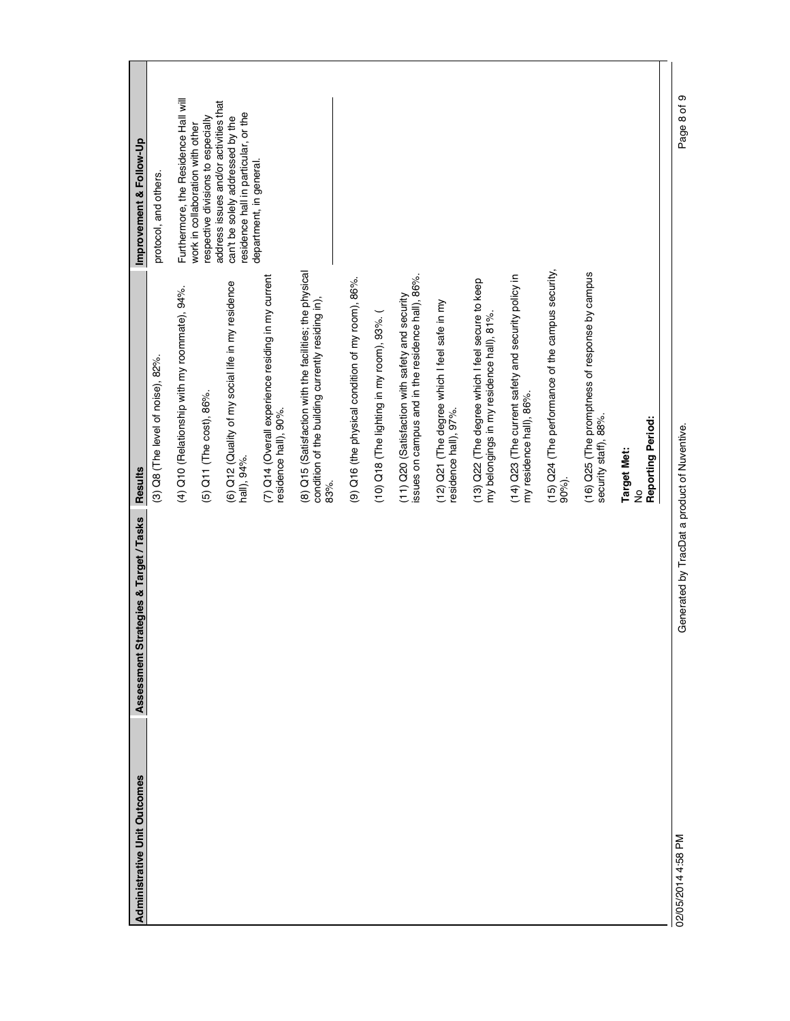| <b>Administrative Unit Outcomes</b> | ategies & Target / Tasks<br>Assessment Str   | <b>Results</b>                                                                                                       | Improvement & Follow-Up                                                                                           |
|-------------------------------------|----------------------------------------------|----------------------------------------------------------------------------------------------------------------------|-------------------------------------------------------------------------------------------------------------------|
|                                     |                                              | (3) Q8 (The level of noise), 82%.                                                                                    | protocol, and others.                                                                                             |
|                                     |                                              | (4) Q10 (Relationship with my roommate), 94%.                                                                        | Furthermore, the Residence Hall will                                                                              |
|                                     |                                              | (5) Q11 (The cost), 86%.                                                                                             | respective divisions to especially<br>work in collaboration with other                                            |
|                                     |                                              | (6) Q12 (Quality of my social life in my residence<br>hall), 94%.                                                    | address issues and/or activities that<br>residence hall in particular, or the<br>can't be solely addressed by the |
|                                     |                                              | (7) Q14 (Overall experience residing in my current<br>residence hall), 90%.                                          | department, in general.                                                                                           |
|                                     |                                              | (8) Q15 (Satisfaction with the facilities; the physical<br>condition of the building currently residing in),<br>83%. |                                                                                                                   |
|                                     |                                              | (9) Q16 (the physical condition of my room), 86%.                                                                    |                                                                                                                   |
|                                     |                                              | (10) Q18 (The lighting in my room), 93%. (                                                                           |                                                                                                                   |
|                                     |                                              | issues on campus and in the residence hall), 86%.<br>(11) Q20 (Satisfaction with safety and security                 |                                                                                                                   |
|                                     |                                              | (12) Q21 (The degree which I feel safe in my<br>residence hall), 97%.                                                |                                                                                                                   |
|                                     |                                              | (13) Q22 (The degree which I feel secure to keep<br>my belongings in my residence hall), 81%.                        |                                                                                                                   |
|                                     |                                              | (14) Q23 (The current safety and security policy in<br>my residence hall), 86%.                                      |                                                                                                                   |
|                                     |                                              | (15) Q24 (The performance of the campus security,<br>90%).                                                           |                                                                                                                   |
|                                     |                                              | (16) Q25 (The promptness of response by campus<br>security staff), 88%.                                              |                                                                                                                   |
|                                     |                                              | Reporting Period:<br><b>Target Met:</b><br>ž                                                                         |                                                                                                                   |
| 02/05/2014 4:58 PM                  | Generated by TracDat a product of Nuventive. |                                                                                                                      | თ<br>Page 8 of                                                                                                    |
|                                     |                                              |                                                                                                                      |                                                                                                                   |